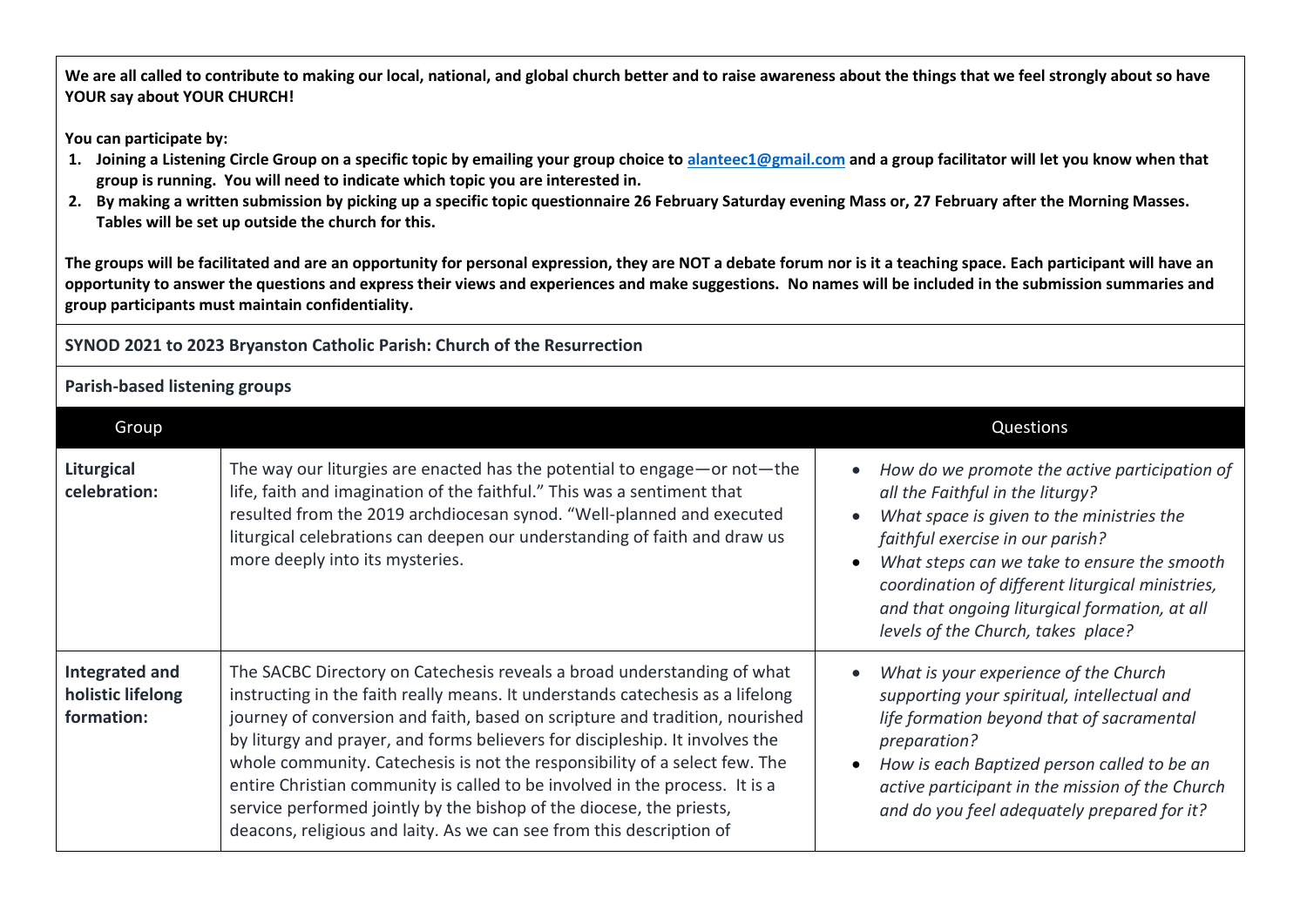**We are all called to contribute to making our local, national, and global church better and to raise awareness about the things that we feel strongly about so have YOUR say about YOUR CHURCH!**

**You can participate by:**

- **1. Joining a Listening Circle Group on a specific topic by emailing your group choice to [alanteec1@gmail.com](mailto:alanteec1@gmail.com) and a group facilitator will let you know when that group is running. You will need to indicate which topic you are interested in.**
- **2. By making a written submission by picking up a specific topic questionnaire 26 February Saturday evening Mass or, 27 February after the Morning Masses. Tables will be set up outside the church for this.**

**The groups will be facilitated and are an opportunity for personal expression, they are NOT a debate forum nor is it a teaching space. Each participant will have an opportunity to answer the questions and express their views and experiences and make suggestions. No names will be included in the submission summaries and group participants must maintain confidentiality.** 

**SYNOD 2021 to 2023 Bryanston Catholic Parish: Church of the Resurrection** 

## **Parish-based listening groups**

| Group                                                    |                                                                                                                                                                                                                                                                                                                                                                                                                                                                                                                                                                                                                                        | Questions                                                                                                                                                                                                                                                                                                                                                                                           |
|----------------------------------------------------------|----------------------------------------------------------------------------------------------------------------------------------------------------------------------------------------------------------------------------------------------------------------------------------------------------------------------------------------------------------------------------------------------------------------------------------------------------------------------------------------------------------------------------------------------------------------------------------------------------------------------------------------|-----------------------------------------------------------------------------------------------------------------------------------------------------------------------------------------------------------------------------------------------------------------------------------------------------------------------------------------------------------------------------------------------------|
| Liturgical<br>celebration:                               | The way our liturgies are enacted has the potential to engage-or not-the<br>life, faith and imagination of the faithful." This was a sentiment that<br>resulted from the 2019 archdiocesan synod. "Well-planned and executed<br>liturgical celebrations can deepen our understanding of faith and draw us<br>more deeply into its mysteries.                                                                                                                                                                                                                                                                                           | How do we promote the active participation of<br>$\bullet$<br>all the Faithful in the liturgy?<br>What space is given to the ministries the<br>$\bullet$<br>faithful exercise in our parish?<br>What steps can we take to ensure the smooth<br>$\bullet$<br>coordination of different liturgical ministries,<br>and that ongoing liturgical formation, at all<br>levels of the Church, takes place? |
| <b>Integrated and</b><br>holistic lifelong<br>formation: | The SACBC Directory on Catechesis reveals a broad understanding of what<br>instructing in the faith really means. It understands catechesis as a lifelong<br>journey of conversion and faith, based on scripture and tradition, nourished<br>by liturgy and prayer, and forms believers for discipleship. It involves the<br>whole community. Catechesis is not the responsibility of a select few. The<br>entire Christian community is called to be involved in the process. It is a<br>service performed jointly by the bishop of the diocese, the priests,<br>deacons, religious and laity. As we can see from this description of | What is your experience of the Church<br>$\bullet$<br>supporting your spiritual, intellectual and<br>life formation beyond that of sacramental<br>preparation?<br>How is each Baptized person called to be an<br>$\bullet$<br>active participant in the mission of the Church<br>and do you feel adequately prepared for it?                                                                        |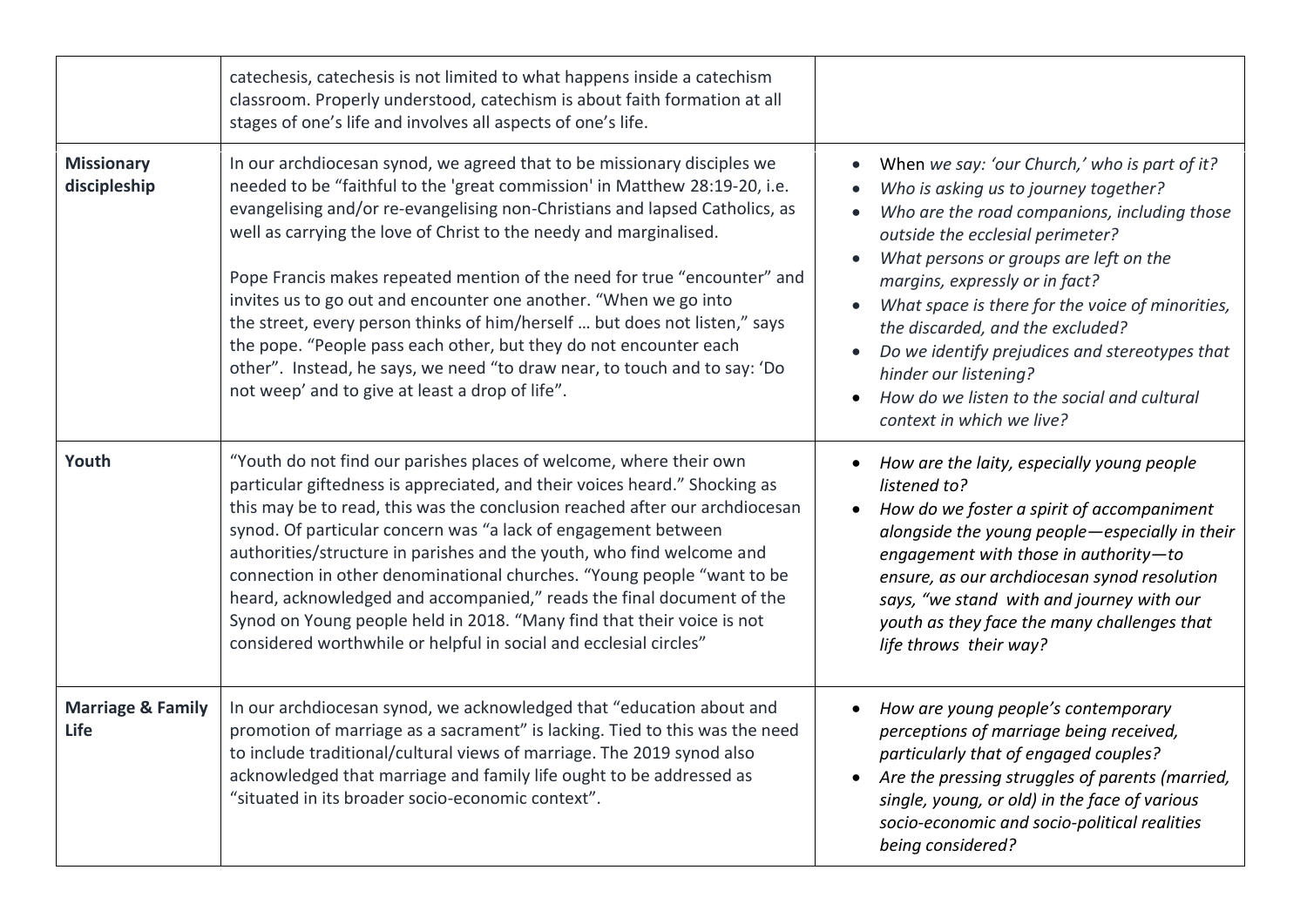|                                             | catechesis, catechesis is not limited to what happens inside a catechism<br>classroom. Properly understood, catechism is about faith formation at all<br>stages of one's life and involves all aspects of one's life.                                                                                                                                                                                                                                                                                                                                                                                                                                                                                                                         |                                                                                                                                                                                                                                                                                                                                                                                                                                                                                                       |
|---------------------------------------------|-----------------------------------------------------------------------------------------------------------------------------------------------------------------------------------------------------------------------------------------------------------------------------------------------------------------------------------------------------------------------------------------------------------------------------------------------------------------------------------------------------------------------------------------------------------------------------------------------------------------------------------------------------------------------------------------------------------------------------------------------|-------------------------------------------------------------------------------------------------------------------------------------------------------------------------------------------------------------------------------------------------------------------------------------------------------------------------------------------------------------------------------------------------------------------------------------------------------------------------------------------------------|
| <b>Missionary</b><br>discipleship           | In our archdiocesan synod, we agreed that to be missionary disciples we<br>needed to be "faithful to the 'great commission' in Matthew 28:19-20, i.e.<br>evangelising and/or re-evangelising non-Christians and lapsed Catholics, as<br>well as carrying the love of Christ to the needy and marginalised.<br>Pope Francis makes repeated mention of the need for true "encounter" and<br>invites us to go out and encounter one another. "When we go into<br>the street, every person thinks of him/herself  but does not listen," says<br>the pope. "People pass each other, but they do not encounter each<br>other". Instead, he says, we need "to draw near, to touch and to say: 'Do<br>not weep' and to give at least a drop of life". | When we say: 'our Church,' who is part of it?<br>Who is asking us to journey together?<br>Who are the road companions, including those<br>outside the ecclesial perimeter?<br>What persons or groups are left on the<br>margins, expressly or in fact?<br>What space is there for the voice of minorities,<br>the discarded, and the excluded?<br>Do we identify prejudices and stereotypes that<br>hinder our listening?<br>How do we listen to the social and cultural<br>context in which we live? |
| Youth                                       | "Youth do not find our parishes places of welcome, where their own<br>particular giftedness is appreciated, and their voices heard." Shocking as<br>this may be to read, this was the conclusion reached after our archdiocesan<br>synod. Of particular concern was "a lack of engagement between<br>authorities/structure in parishes and the youth, who find welcome and<br>connection in other denominational churches. "Young people "want to be<br>heard, acknowledged and accompanied," reads the final document of the<br>Synod on Young people held in 2018. "Many find that their voice is not<br>considered worthwhile or helpful in social and ecclesial circles"                                                                  | How are the laity, especially young people<br>listened to?<br>How do we foster a spirit of accompaniment<br>alongside the young people-especially in their<br>engagement with those in authority-to<br>ensure, as our archdiocesan synod resolution<br>says, "we stand with and journey with our<br>youth as they face the many challenges that<br>life throws their way?                                                                                                                             |
| <b>Marriage &amp; Family</b><br><b>Life</b> | In our archdiocesan synod, we acknowledged that "education about and<br>promotion of marriage as a sacrament" is lacking. Tied to this was the need<br>to include traditional/cultural views of marriage. The 2019 synod also<br>acknowledged that marriage and family life ought to be addressed as<br>"situated in its broader socio-economic context".                                                                                                                                                                                                                                                                                                                                                                                     | How are young people's contemporary<br>perceptions of marriage being received,<br>particularly that of engaged couples?<br>Are the pressing struggles of parents (married,<br>single, young, or old) in the face of various<br>socio-economic and socio-political realities<br>being considered?                                                                                                                                                                                                      |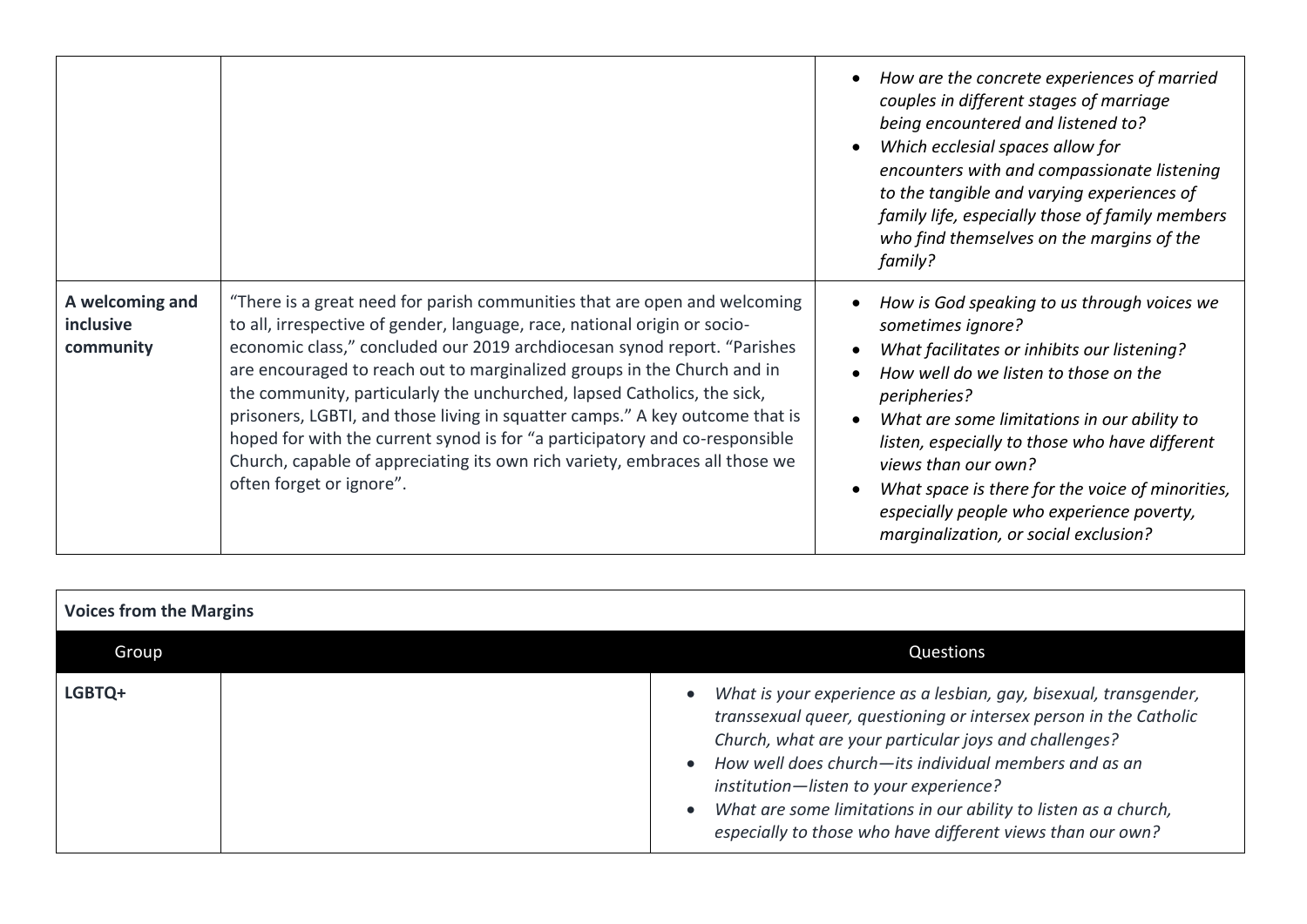|                                           |                                                                                                                                                                                                                                                                                                                                                                                                                                                                                                                                                                                                                                                                    | How are the concrete experiences of married<br>couples in different stages of marriage<br>being encountered and listened to?<br>Which ecclesial spaces allow for<br>$\bullet$<br>encounters with and compassionate listening<br>to the tangible and varying experiences of<br>family life, especially those of family members<br>who find themselves on the margins of the<br>family?                                                                                |
|-------------------------------------------|--------------------------------------------------------------------------------------------------------------------------------------------------------------------------------------------------------------------------------------------------------------------------------------------------------------------------------------------------------------------------------------------------------------------------------------------------------------------------------------------------------------------------------------------------------------------------------------------------------------------------------------------------------------------|----------------------------------------------------------------------------------------------------------------------------------------------------------------------------------------------------------------------------------------------------------------------------------------------------------------------------------------------------------------------------------------------------------------------------------------------------------------------|
| A welcoming and<br>inclusive<br>community | "There is a great need for parish communities that are open and welcoming<br>to all, irrespective of gender, language, race, national origin or socio-<br>economic class," concluded our 2019 archdiocesan synod report. "Parishes<br>are encouraged to reach out to marginalized groups in the Church and in<br>the community, particularly the unchurched, lapsed Catholics, the sick,<br>prisoners, LGBTI, and those living in squatter camps." A key outcome that is<br>hoped for with the current synod is for "a participatory and co-responsible<br>Church, capable of appreciating its own rich variety, embraces all those we<br>often forget or ignore". | How is God speaking to us through voices we<br>sometimes ignore?<br>What facilitates or inhibits our listening?<br>How well do we listen to those on the<br>peripheries?<br>What are some limitations in our ability to<br>$\bullet$<br>listen, especially to those who have different<br>views than our own?<br>What space is there for the voice of minorities,<br>$\bullet$<br>especially people who experience poverty,<br>marginalization, or social exclusion? |

| <b>Voices from the Margins</b> |                                                                                                                                                                                                                                                                                                                                                                                                                                     |  |
|--------------------------------|-------------------------------------------------------------------------------------------------------------------------------------------------------------------------------------------------------------------------------------------------------------------------------------------------------------------------------------------------------------------------------------------------------------------------------------|--|
| Group                          | Questions                                                                                                                                                                                                                                                                                                                                                                                                                           |  |
| LGBTQ+                         | What is your experience as a lesbian, gay, bisexual, transgender,<br>transsexual queer, questioning or intersex person in the Catholic<br>Church, what are your particular joys and challenges?<br>How well does church—its individual members and as an<br>institution-listen to your experience?<br>What are some limitations in our ability to listen as a church,<br>especially to those who have different views than our own? |  |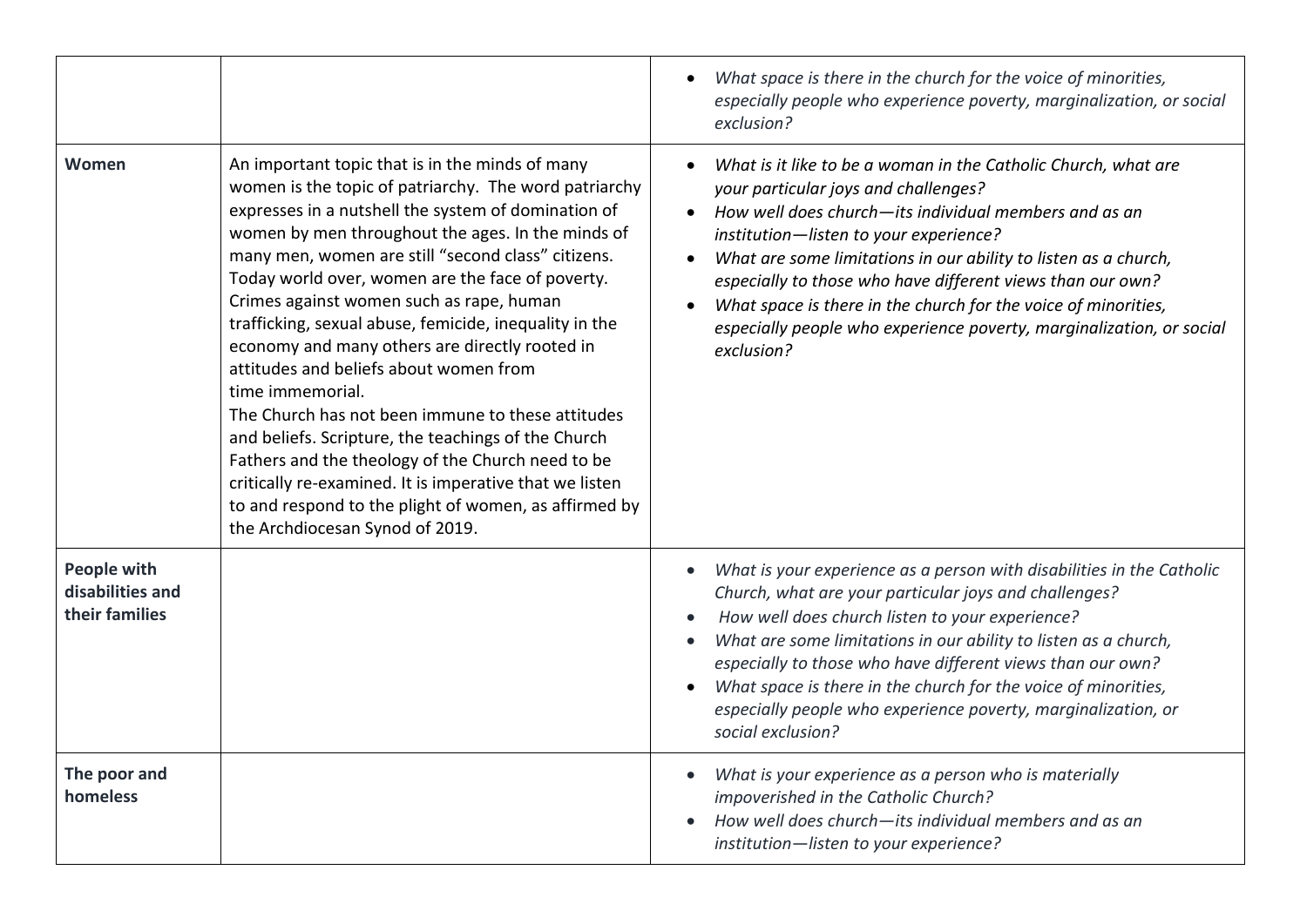|                                                   |                                                                                                                                                                                                                                                                                                                                                                                                                                                                                                                                                                                                                                                                                                                                                                                                                                                                              | What space is there in the church for the voice of minorities,<br>especially people who experience poverty, marginalization, or social<br>exclusion?                                                                                                                                                                                                                                                                                                                                               |
|---------------------------------------------------|------------------------------------------------------------------------------------------------------------------------------------------------------------------------------------------------------------------------------------------------------------------------------------------------------------------------------------------------------------------------------------------------------------------------------------------------------------------------------------------------------------------------------------------------------------------------------------------------------------------------------------------------------------------------------------------------------------------------------------------------------------------------------------------------------------------------------------------------------------------------------|----------------------------------------------------------------------------------------------------------------------------------------------------------------------------------------------------------------------------------------------------------------------------------------------------------------------------------------------------------------------------------------------------------------------------------------------------------------------------------------------------|
| Women                                             | An important topic that is in the minds of many<br>women is the topic of patriarchy. The word patriarchy<br>expresses in a nutshell the system of domination of<br>women by men throughout the ages. In the minds of<br>many men, women are still "second class" citizens.<br>Today world over, women are the face of poverty.<br>Crimes against women such as rape, human<br>trafficking, sexual abuse, femicide, inequality in the<br>economy and many others are directly rooted in<br>attitudes and beliefs about women from<br>time immemorial.<br>The Church has not been immune to these attitudes<br>and beliefs. Scripture, the teachings of the Church<br>Fathers and the theology of the Church need to be<br>critically re-examined. It is imperative that we listen<br>to and respond to the plight of women, as affirmed by<br>the Archdiocesan Synod of 2019. | What is it like to be a woman in the Catholic Church, what are<br>your particular joys and challenges?<br>How well does church-its individual members and as an<br>institution-listen to your experience?<br>What are some limitations in our ability to listen as a church,<br>especially to those who have different views than our own?<br>What space is there in the church for the voice of minorities,<br>especially people who experience poverty, marginalization, or social<br>exclusion? |
| People with<br>disabilities and<br>their families |                                                                                                                                                                                                                                                                                                                                                                                                                                                                                                                                                                                                                                                                                                                                                                                                                                                                              | What is your experience as a person with disabilities in the Catholic<br>Church, what are your particular joys and challenges?<br>How well does church listen to your experience?<br>What are some limitations in our ability to listen as a church,<br>especially to those who have different views than our own?<br>What space is there in the church for the voice of minorities,<br>especially people who experience poverty, marginalization, or<br>social exclusion?                         |
| The poor and<br>homeless                          |                                                                                                                                                                                                                                                                                                                                                                                                                                                                                                                                                                                                                                                                                                                                                                                                                                                                              | What is your experience as a person who is materially<br>impoverished in the Catholic Church?<br>How well does church-its individual members and as an<br>institution-listen to your experience?                                                                                                                                                                                                                                                                                                   |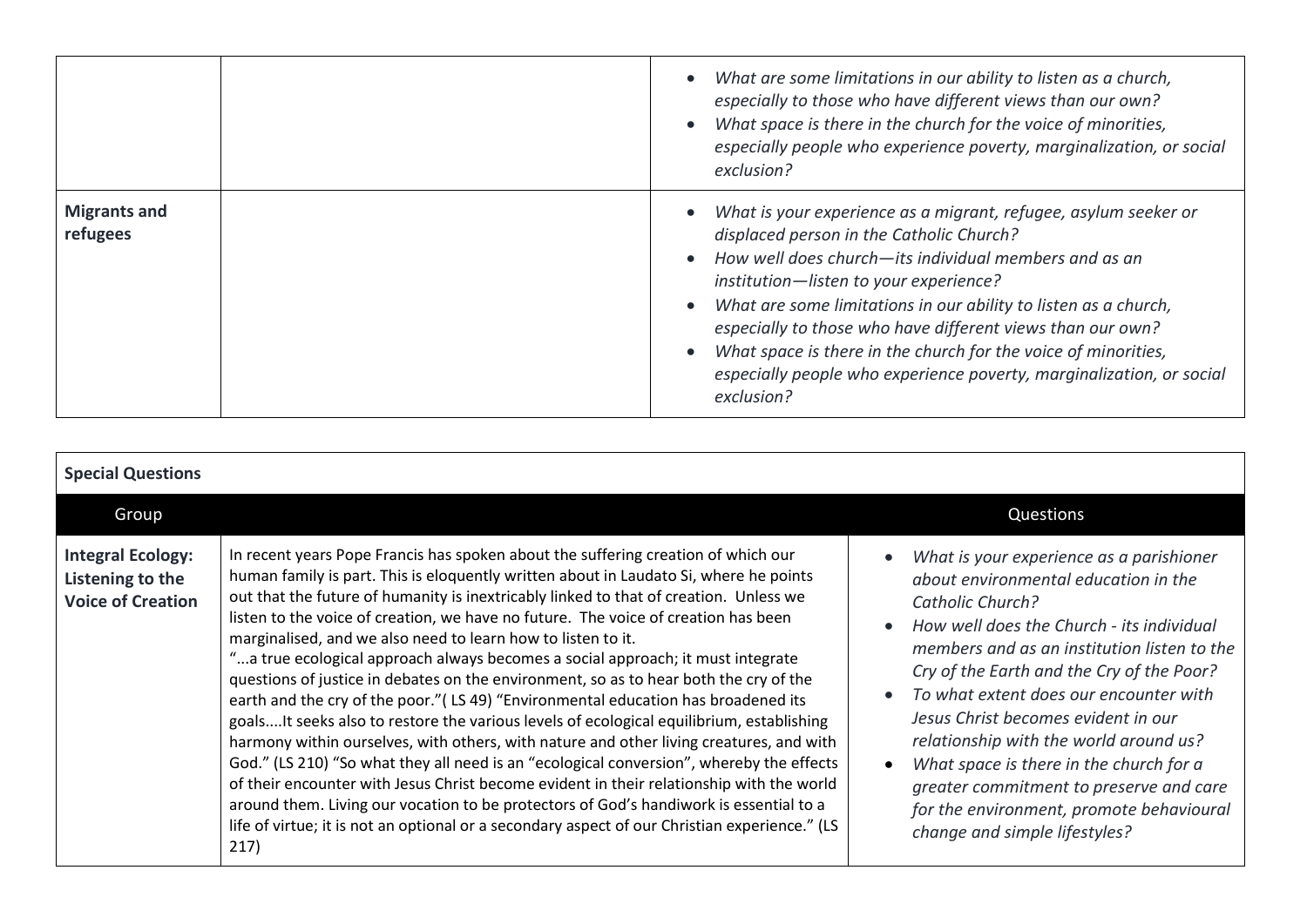|                                 | What are some limitations in our ability to listen as a church,<br>especially to those who have different views than our own?<br>What space is there in the church for the voice of minorities,<br>especially people who experience poverty, marginalization, or social<br>exclusion?                                                                                                                                                                                                                   |
|---------------------------------|---------------------------------------------------------------------------------------------------------------------------------------------------------------------------------------------------------------------------------------------------------------------------------------------------------------------------------------------------------------------------------------------------------------------------------------------------------------------------------------------------------|
| <b>Migrants and</b><br>refugees | What is your experience as a migrant, refugee, asylum seeker or<br>displaced person in the Catholic Church?<br>How well does church-its individual members and as an<br>institution-listen to your experience?<br>What are some limitations in our ability to listen as a church,<br>especially to those who have different views than our own?<br>What space is there in the church for the voice of minorities,<br>especially people who experience poverty, marginalization, or social<br>exclusion? |

| <b>Special Questions</b>                                                 |                                                                                                                                                                                                                                                                                                                                                                                                                                                                                                                                                                                                                                                                                                                                                                                                                                                                                                                                                                                                                                                                                                                                                                                                                                                                              |                                                                                                                                                                                                                                                                                                                                                                                                                                                                                                                                                    |
|--------------------------------------------------------------------------|------------------------------------------------------------------------------------------------------------------------------------------------------------------------------------------------------------------------------------------------------------------------------------------------------------------------------------------------------------------------------------------------------------------------------------------------------------------------------------------------------------------------------------------------------------------------------------------------------------------------------------------------------------------------------------------------------------------------------------------------------------------------------------------------------------------------------------------------------------------------------------------------------------------------------------------------------------------------------------------------------------------------------------------------------------------------------------------------------------------------------------------------------------------------------------------------------------------------------------------------------------------------------|----------------------------------------------------------------------------------------------------------------------------------------------------------------------------------------------------------------------------------------------------------------------------------------------------------------------------------------------------------------------------------------------------------------------------------------------------------------------------------------------------------------------------------------------------|
| Group                                                                    |                                                                                                                                                                                                                                                                                                                                                                                                                                                                                                                                                                                                                                                                                                                                                                                                                                                                                                                                                                                                                                                                                                                                                                                                                                                                              | Questions                                                                                                                                                                                                                                                                                                                                                                                                                                                                                                                                          |
| <b>Integral Ecology:</b><br>Listening to the<br><b>Voice of Creation</b> | In recent years Pope Francis has spoken about the suffering creation of which our<br>human family is part. This is eloquently written about in Laudato Si, where he points<br>out that the future of humanity is inextricably linked to that of creation. Unless we<br>listen to the voice of creation, we have no future. The voice of creation has been<br>marginalised, and we also need to learn how to listen to it.<br>a true ecological approach always becomes a social approach; it must integrate"<br>questions of justice in debates on the environment, so as to hear both the cry of the<br>earth and the cry of the poor."(LS 49) "Environmental education has broadened its<br>goalsIt seeks also to restore the various levels of ecological equilibrium, establishing<br>harmony within ourselves, with others, with nature and other living creatures, and with<br>God." (LS 210) "So what they all need is an "ecological conversion", whereby the effects<br>of their encounter with Jesus Christ become evident in their relationship with the world<br>around them. Living our vocation to be protectors of God's handiwork is essential to a<br>life of virtue; it is not an optional or a secondary aspect of our Christian experience." (LS<br>217) | What is your experience as a parishioner<br>about environmental education in the<br><b>Catholic Church?</b><br>How well does the Church - its individual<br>members and as an institution listen to the<br>Cry of the Earth and the Cry of the Poor?<br>To what extent does our encounter with<br>Jesus Christ becomes evident in our<br>relationship with the world around us?<br>What space is there in the church for a<br>greater commitment to preserve and care<br>for the environment, promote behavioural<br>change and simple lifestyles? |